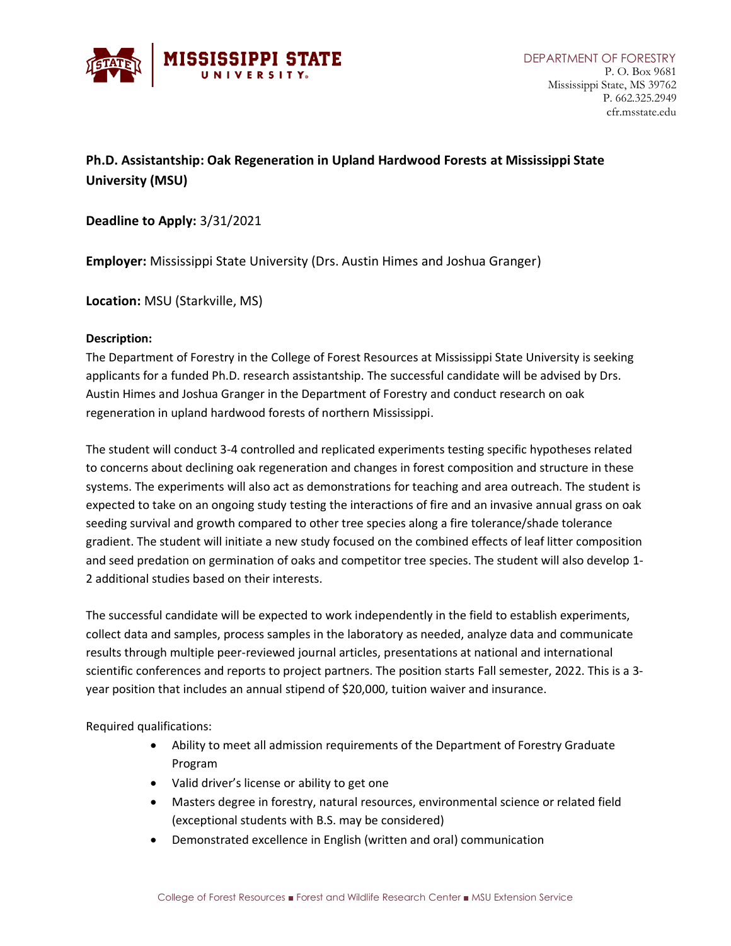

## **Ph.D. Assistantship: Oak Regeneration in Upland Hardwood Forests at Mississippi State University (MSU)**

**Deadline to Apply:** 3/31/2021

**Employer:** Mississippi State University (Drs. Austin Himes and Joshua Granger)

**Location:** MSU (Starkville, MS)

## **Description:**

The Department of Forestry in the College of Forest Resources at Mississippi State University is seeking applicants for a funded Ph.D. research assistantship. The successful candidate will be advised by Drs. Austin Himes and Joshua Granger in the Department of Forestry and conduct research on oak regeneration in upland hardwood forests of northern Mississippi.

The student will conduct 3-4 controlled and replicated experiments testing specific hypotheses related to concerns about declining oak regeneration and changes in forest composition and structure in these systems. The experiments will also act as demonstrations for teaching and area outreach. The student is expected to take on an ongoing study testing the interactions of fire and an invasive annual grass on oak seeding survival and growth compared to other tree species along a fire tolerance/shade tolerance gradient. The student will initiate a new study focused on the combined effects of leaf litter composition and seed predation on germination of oaks and competitor tree species. The student will also develop 1- 2 additional studies based on their interests.

The successful candidate will be expected to work independently in the field to establish experiments, collect data and samples, process samples in the laboratory as needed, analyze data and communicate results through multiple peer-reviewed journal articles, presentations at national and international scientific conferences and reports to project partners. The position starts Fall semester, 2022. This is a 3 year position that includes an annual stipend of \$20,000, tuition waiver and insurance.

Required qualifications:

- Ability to meet all admission requirements of the Department of Forestry Graduate Program
- Valid driver's license or ability to get one
- Masters degree in forestry, natural resources, environmental science or related field (exceptional students with B.S. may be considered)
- Demonstrated excellence in English (written and oral) communication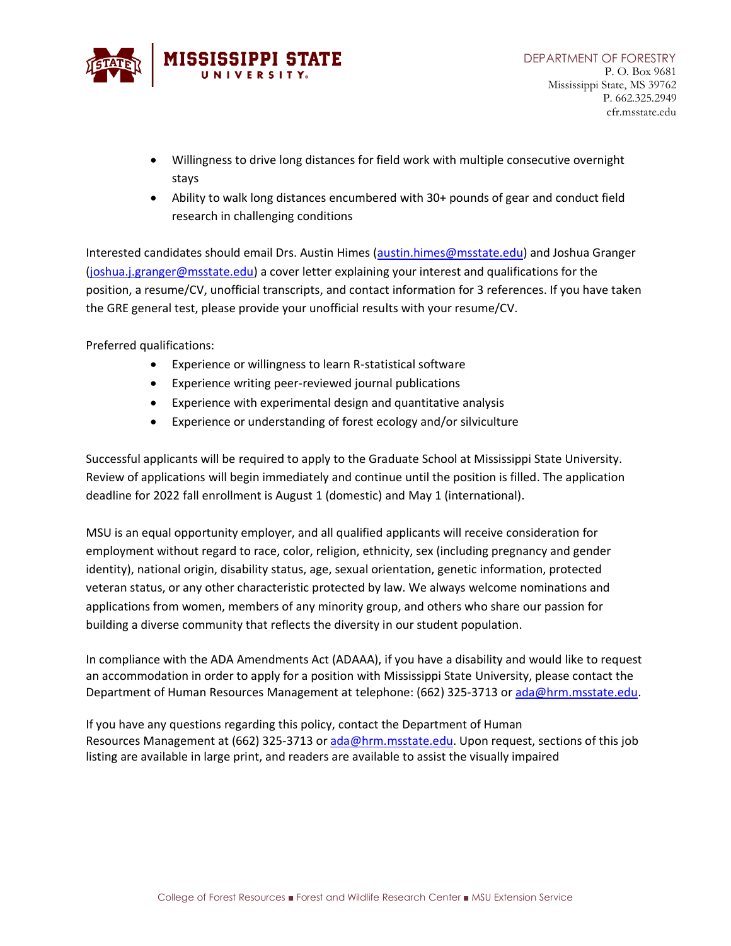

- Willingness to drive long distances for field work with multiple consecutive overnight stays
- Ability to walk long distances encumbered with 30+ pounds of gear and conduct field research in challenging conditions

Interested candidates should email Drs. Austin Himes [\(austin.himes@msstate.edu\)](mailto:austin.himes@msstate.edu) and Joshua Granger [\(joshua.j.granger@msstate.edu\)](mailto:joshua.j.granger@msstate.edu) a cover letter explaining your interest and qualifications for the position, a resume/CV, unofficial transcripts, and contact information for 3 references. If you have taken the GRE general test, please provide your unofficial results with your resume/CV.

Preferred qualifications:

- Experience or willingness to learn R-statistical software
- Experience writing peer-reviewed journal publications
- Experience with experimental design and quantitative analysis
- Experience or understanding of forest ecology and/or silviculture

Successful applicants will be required to apply to the Graduate School at Mississippi State University. Review of applications will begin immediately and continue until the position is filled. The application deadline for 2022 fall enrollment is August 1 (domestic) and May 1 (international).

MSU is an equal opportunity employer, and all qualified applicants will receive consideration for employment without regard to race, color, religion, ethnicity, sex (including pregnancy and gender identity), national origin, disability status, age, sexual orientation, genetic information, protected veteran status, or any other characteristic protected by law. We always welcome nominations and applications from women, members of any minority group, and others who share our passion for building a diverse community that reflects the diversity in our student population.

In compliance with the ADA Amendments Act (ADAAA), if you have a disability and would like to request an accommodation in order to apply for a position with Mississippi State University, please contact the Department of Human Resources Management at telephone: (662) 325-3713 or [ada@hrm.msstate.edu.](mailto:employment@hrm.msstate.edu)

If you have any questions regarding this policy, contact the Department of Human Resources Management at (662) 325-3713 or [ada@hrm.msstate.edu.](mailto:employment@hrm.msstate.edu) Upon request, sections of this job listing are available in large print, and readers are available to assist the visually impaired